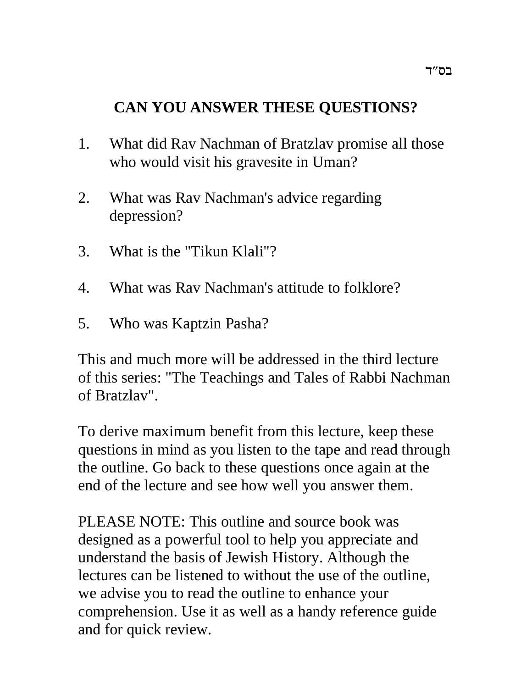# **CAN YOU ANSWER THESE QUESTIONS?**

- 1. What did Rav Nachman of Bratzlav promise all those who would visit his gravesite in Uman?
- 2. What was Rav Nachman's advice regarding depression?
- 3. What is the "Tikun Klali"?
- 4. What was Rav Nachman's attitude to folklore?
- 5. Who was Kaptzin Pasha?

This and much more will be addressed in the third lecture of this series: "The Teachings and Tales of Rabbi Nachman of Bratzlav".

To derive maximum benefit from this lecture, keep these questions in mind as you listen to the tape and read through the outline. Go back to these questions once again at the end of the lecture and see how well you answer them.

PLEASE NOTE: This outline and source book was designed as a powerful tool to help you appreciate and understand the basis of Jewish History. Although the lectures can be listened to without the use of the outline, we advise you to read the outline to enhance your comprehension. Use it as well as a handy reference guide and for quick review.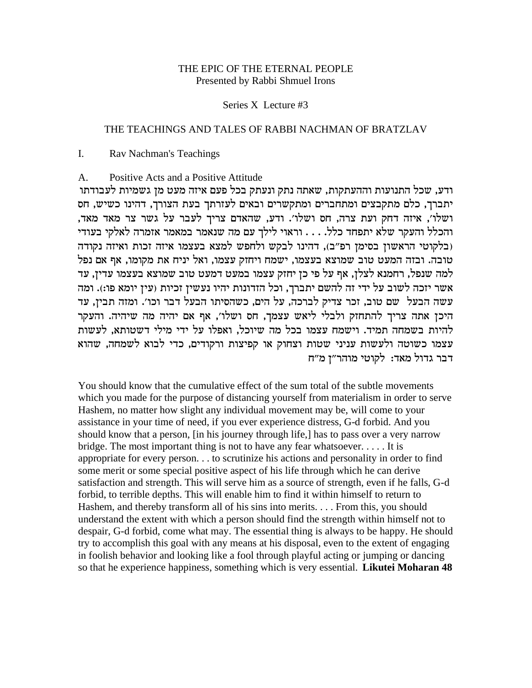# THE EPIC OF THE ETERNAL PEOPLE Presented by Rabbi Shmuel Irons

### Series X Lecture #3

## THE TEACHINGS AND TALES OF RABBI NACHMAN OF BRATZLAV

 $\mathbf{I}$ . Rav Nachman's Teachings

#### Positive Acts and a Positive Attitude A.

ודע, שכל התנועות וההעתקות, שאתה נתק ונעתק בכל פעם איזה מעט מן גשמיות לעבודתו יתברך, כלם מתקבצים ומתחברים ומתקשרים ובאים לעזרתך בעת הצורך, דהינו כשיש, חס ושלו׳, איזה דחק ועת צרה, חס ושלו׳. ודע, שהאדם צריך לעבר על גשר צר מאד מאד, והכלל והעקר שלא יתפחד כלל. . . . וראוי לילך עם מה שנאמר במאמר אזמרה לאלקי בעודי (בלקוטי הראשון בסימן רפ"ב), דהינו לבקש ולחפש למצא בעצמו איזה זכות ואיזה נקודה טובה. ובזה המעט טוב שמוצא בעצמו, ישמח ויחזק עצמו, ואל יניח את מקומו, אף אם נפל למה שנפל, רחמנא לצלן, אף על פי כן יחזק עצמו במעט דמעט טוב שמוצא בעצמו עדין, עד אשר יזכה לשוב על ידי זה להשם יתברך, וכל הזדונות יהיו נעשין זכיות (עין יומא פו:). ומה עשה הבעל שם טוב, זכר צדיק לברכה, על הים, כשהסיתו הבעל דבר וכו׳. ומזה תבין, עד היכן אתה צריך להתחזק ולבלי ליאש עצמך, חס ושלו׳, אף אם יהיה מה שיהיה. והעקר להיות בשמחה תמיד. וישמח עצמו בכל מה שיוכל, ואפלו על ידי מילי דשטותא. לעשות עצמו כשוטה ולעשות עניני שטות וצחוק או קפיצות ורקודים, כדי לבוא לשמחה, שהוא דבר גדול מאד: לקוטי מוהר״ן מ״ח

You should know that the cumulative effect of the sum total of the subtle movements which you made for the purpose of distancing yourself from materialism in order to serve Hashem, no matter how slight any individual movement may be, will come to your assistance in your time of need, if you ever experience distress, G-d forbid. And you should know that a person, [in his journey through life,] has to pass over a very narrow bridge. The most important thing is not to have any fear whatsoever.  $\dots$  It is appropriate for every person... to scrutinize his actions and personality in order to find some merit or some special positive aspect of his life through which he can derive satisfaction and strength. This will serve him as a source of strength, even if he falls, G-d forbid, to terrible depths. This will enable him to find it within himself to return to Hashem, and thereby transform all of his sins into merits.... From this, you should understand the extent with which a person should find the strength within himself not to despair, G-d forbid, come what may. The essential thing is always to be happy. He should try to accomplish this goal with any means at his disposal, even to the extent of engaging in foolish behavior and looking like a fool through playful acting or jumping or dancing so that he experience happiness, something which is very essential. Likutei Moharan 48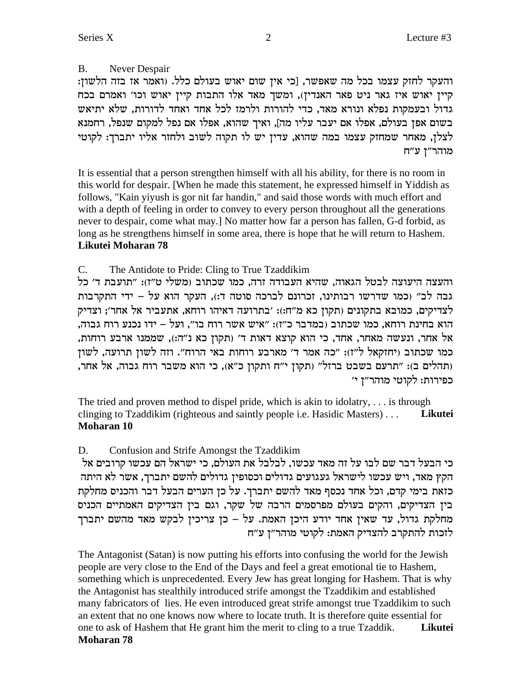Never Despair B.

והעקר לחזק עצמו בכל מה שאפשר, [כי אין שום יאוש בעולם כלל. (ואמר אז בזה הלשון: קיין יאוש איז גאר ניט פאר האנדין), ומשך מאד אלו התבות קיין יאוש וכו' ואמרם בכח גדול ובעמקות נפלא ונורא מאד, כדי להורות ולרמז לכל אחד ואחד לדורות, שלא יתיאש בשום אפן בעולם, אפלו אם יעבר עליו מה], ואיך שהוא, אפלו אם נפל למקום שנפל, רחמנא לצלן, מאחר שמחזק עצמו במה שהוא, עדין יש לו תקוה לשוב ולחזר אליו יתברך: לקוטי מוהר"ז ע"ח

It is essential that a person strengthen himself with all his ability, for there is no room in this world for despair. When he made this statement, he expressed himself in Yiddish as follows, "Kain yiyush is gor nit far handin," and said those words with much effort and with a depth of feeling in order to convey to every person throughout all the generations never to despair, come what may.] No matter how far a person has fallen, G-d forbid, as long as he strengthens himself in some area, there is hope that he will return to Hashem. Likutei Moharan 78

 $C_{\cdot}$ The Antidote to Pride: Cling to True Tzaddikim

והעצה היעוצה לבטל הגאוה, שהיא העבודה זרה, כמו שכתוב (משלי ט״ז): ״תועבת ד׳ כל גבה לב" (כמו שדרשו רבותינו, זכרונם לברכה סוטה ד:), העקר הוא על – ידי התקרבות לצדיקים, כמובא בתקונים (תקון כא מ"ח:): 'בתרועה דאיהו רוחא, אתעביר אל אחר'; וצדיק הוא בחינת רוחא, כמו שכתוב (במדבר כ"ז): "איש אשר רוח בו", ועל – ידו נכנע רוח גבוה, אל אחר, ונעשה מאחר, אחד, כי הוא קוצא דאות ד׳ (תקון כא נ״ה:), שממנו ארבע רוחות, כמו שכתוב (יחזקאל ל"ז): "כה אמר ד' מארבע רוחות באי הרוח". וזה לשון תרועה, לשון (תהלים ב): "תרעם בשבט ברזל" (תקון י"ח ותקון כ"א), כי הוא משבר רוח גבוה, אל אחר, כפירות: לקוטי מוהר"ן י'

The tried and proven method to dispel pride, which is akin to idolatry, ... is through clinging to Tzaddikim (righteous and saintly people i.e. Hasidic Masters)... Likutei **Moharan 10** 

Confusion and Strife Amongst the Tzaddikim D.

כי הבעל דבר שם לבו על זה מאד עכשו, לבלבל את העולם, כי ישראל הם עכשו קרובים אל הקץ מאד, ויש עכשו לישראל געגועים גדולים וכסופין גדולים להשם יתברך, אשר לא היתה כזאת בימי קדם, וכל אחד נכסף מאד להשם יתברך. על כן הערים הבעל דבר והכניס מחלקת בין הצדיקים, והקים בעולם מפרסמים הרבה של שקר, וגם בין הצדיקים האמתיים הכניס מחלקת גדול, עד שאין אחד יודע היכן האמת. על – כן צריכין לבקש מאד מהשם יתברך לזכות להתקרב להצדיק האמת: לקוטי מוהר"ז ע"ח

The Antagonist (Satan) is now putting his efforts into confusing the world for the Jewish people are very close to the End of the Days and feel a great emotional tie to Hashem, something which is unprecedented. Every Jew has great longing for Hashem. That is why the Antagonist has stealthily introduced strife amongst the Tzaddikim and established many fabricators of lies. He even introduced great strife amongst true Tzaddikim to such an extent that no one knows now where to locate truth. It is therefore quite essential for one to ask of Hashem that He grant him the merit to cling to a true Tzaddik. Likutei **Moharan 78**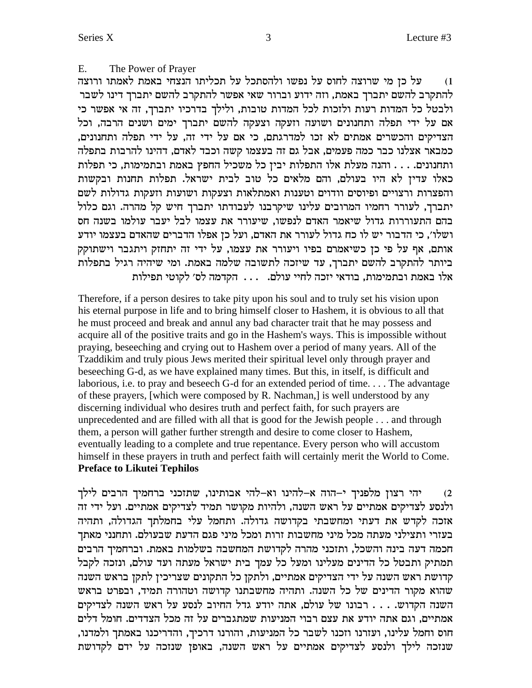#### E. The Power of Prayer

על כן מי שרוצה לחוס על נפשו ולהסתכל על תכליתו הנצחי באמת לאמתו ורוצה  $(1)$ להתקרב להשם יתברך באמת, וזה ידוע וברור שאי אפשר להתקרב להשם יתברך דינו לשבר ולבטל כל המדות רעות ולזכות לכל המדות טובות, ולילך בדרכיו יתברך, זה אי אפשר כי אם על ידי תפלה ותחנונים ושועה וזעקה וצעקה להשם יתברך ימים ושנים הרבה, וכל הצדיקים והכשרים אמתים לא זכו למדרגתם, כי אם על ידי זה, על ידי תפלה ותחנונים, כמבאר אצלנו כבר כמה פעמים, אבל גם זה בעצמו קשה וכבד לאדם, דהינו להרבות בתפלה ותחנונים. . . . והנה מעלת אלו התפלות יבין כל משכיל החפץ באמת ובתמימות, כי תפלות כאלו עדין לא היו בעולם, והם מלאים כל טוב לבית ישראל. תפלות תחנות ובקשות והפצרות ורצויים ופיוסים וודוים וטענות ואמתלאות וצעקות ושועות וזעקות גדולות לשם יתברך, לעורר רחמיו המרובים עלינו שיקרבנו לעבודתו יתברך חיש קל מהרה. וגם כלול בהם התעוררות גדול שיאמר האדם לנפשו. שיעורר את עצמו לבל יעבר עולמו בשנה חס ושלו׳, כי הדבור יש לו כח גדול לעורר את האדם, ועל כן אפלו הדברים שהאדם בעצמו יודע אותם, אף על פי כן כשיאמרם בפיו ויעורר את עצמו, על ידי זה יתחזק ויתגבר וישתוקק ביותר להתקרב להשם יתברך, עד שיזכה לתשובה שלמה באמת. ומי שיהיה רגיל בתפלות אלו באמת ובתמימות, בודאי יזכה לחיי עולם. ... הקדמה לס׳ לקוטי תפילות

Therefore, if a person desires to take pity upon his soul and to truly set his vision upon his eternal purpose in life and to bring himself closer to Hashem, it is obvious to all that he must proceed and break and annul any bad character trait that he may possess and acquire all of the positive traits and go in the Hashem's ways. This is impossible without praying, beseeching and crying out to Hashem over a period of many years. All of the Tzaddikim and truly pious Jews merited their spiritual level only through prayer and beseeching G-d, as we have explained many times. But this, in itself, is difficult and laborious, i.e. to pray and beseech G-d for an extended period of time.... The advantage of these prayers, [which were composed by R. Nachman,] is well understood by any discerning individual who desires truth and perfect faith, for such prayers are unprecedented and are filled with all that is good for the Jewish people . . . and through them, a person will gather further strength and desire to come closer to Hashem, eventually leading to a complete and true repentance. Every person who will accustom himself in these prayers in truth and perfect faith will certainly merit the World to Come. **Preface to Likutei Tephilos** 

יהי רצון מלפניך י–הוה א–להינו וא–להי אבותינו, שתזכני ברחמיך הרבים לילך ולנסע לצדיקים אמתיים על ראש השנה, ולהיות מקושר תמיד לצדיקים אמתיים. ועל ידי זה אזכה לקדש את דעתי ומחשבתי בקדושה גדולה. ותחמל עלי בחמלתך הגדולה, ותהיה בעזרי ותצילני מעתה מכל מיני מחשבות זרות ומכל מיני פגם הדעת שבעולם. ותחנני מאתך חכמה דעה בינה והשכל, ותזכני מהרה לקדושת המחשבה בשלמות באמת. וברחמיך הרבים תמתיק ותבטל כל הדינים מעלינו ומעל כל עמך בית ישראל מעתה ועד עולם, ונזכה לקבל קדושת ראש השנה על ידי הצדיקים אמתיים, ולתקן כל התקונים שצריכין לתקן בראש השנה שהוא מקור הדינים של כל השנה. ותהיה מחשבתנו קדושה וטהורה תמיד, ובפרט בראש השנה הקדוש. . . . רבונו של עולם, אתה יודע גדל החיוב לנסע על ראש השנה לצדיקים אמתיים, וגם אתה יודע את עצם רבוי המניעות שמתגברים על זה מכל הצדדים. חומל דלים חוס וחמל עלינו, ועזרנו וזכנו לשבר כל המניעות, והורנו דרכיך, והדריכנו באמתך ולמדנו, שנזכה לילך ולנסע לצדיקים אמתיים על ראש השנה, באופן שנזכה על ידם לקדושת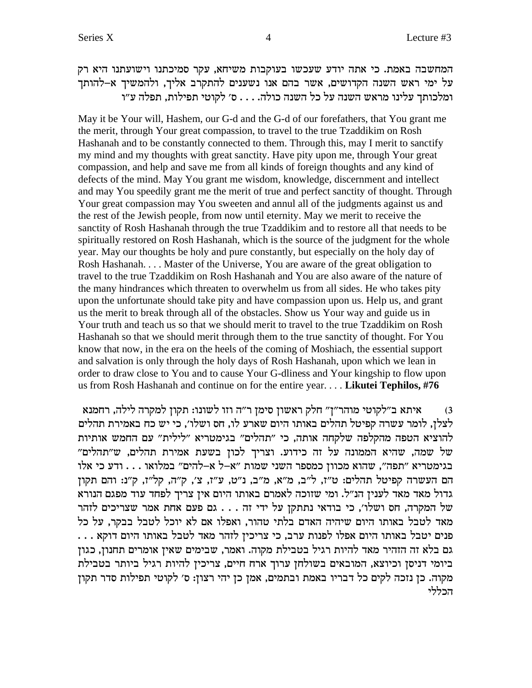המחשבה באמת. כי אתה יודע שעכשו בעוקבות משיחא, עקר סמיכתנו וישועתנו היא רק על ימי ראש השנה הקדושים, אשר בהם אנו נשענים להתקרב אליך, ולהמשיך א-להותך ומלכותך עלינו מראש השנה על כל השנה כולה. . . . ס׳ לקוטי תפילות, תפלה ע״ו

May it be Your will, Hashem, our G-d and the G-d of our forefathers, that You grant me the merit, through Your great compassion, to travel to the true Tzaddikim on Rosh Hashanah and to be constantly connected to them. Through this, may I merit to sanctify my mind and my thoughts with great sanctity. Have pity upon me, through Your great compassion, and help and save me from all kinds of foreign thoughts and any kind of defects of the mind. May You grant me wisdom, knowledge, discernment and intellect and may You speedily grant me the merit of true and perfect sanctity of thought. Through Your great compassion may You sweeten and annul all of the judgments against us and the rest of the Jewish people, from now until eternity. May we merit to receive the sanctity of Rosh Hashanah through the true Tzaddikim and to restore all that needs to be spiritually restored on Rosh Hashanah, which is the source of the judgment for the whole year. May our thoughts be holy and pure constantly, but especially on the holy day of Rosh Hashanah. . . . Master of the Universe, You are aware of the great obligation to travel to the true Tzaddikim on Rosh Hashanah and You are also aware of the nature of the many hindrances which threaten to overwhelm us from all sides. He who takes pity upon the unfortunate should take pity and have compassion upon us. Help us, and grant us the merit to break through all of the obstacles. Show us Your way and guide us in Your truth and teach us so that we should merit to travel to the true Tzaddikim on Rosh Hashanah so that we should merit through them to the true sanctity of thought. For You know that now, in the era on the heels of the coming of Moshiach, the essential support and salvation is only through the holy days of Rosh Hashanah, upon which we lean in order to draw close to You and to cause Your G-dliness and Your kingship to flow upon us from Rosh Hashanah and continue on for the entire year. . . . **Likutei Tephilos, #76**

איתא ב״לקוטי מוהר״ן״ חלק ראשון סימן ר״ה וזו לשונו: תקון למקרה לילה, רחמנא " $\alpha$ לצלן, לומר עשרה קפיטל תהלים באותו היום שארע לו, חס ושלו׳, כי יש כח באמירת תהלים להוציא הטפה מהקלפה שלקחה אותה, כי "תהלים" בגימטריא "לילית" עם החמש אותיות של שמה, שהיא הממונה על זה כידוע. וצריך לכון בשעת אמירת תהלים, ש״תהלים״ בגימטריא "תפה", שהוא מכוון כמספר השני שמות "א–ל א–להים" במלואו . . . ודע כי אלו הם העשרה קפיטל תהלים: ט"ז, ל"ב, מ"א, מ"ב, נ"ט, ע"ז, צ', ק"ה, קל"ז, ק"נ: והם תקון גדול מאד מאד לענין הנ"ל. ומי שזוכה לאמרם באותו היום אין צריך לפחד עוד מפגם הנורא של המקרה, חס ושלו׳, כי בודאי נתתקן על ידי זה . . . גם פעם אחת אמר שצריכים לזהר מאד לטבל באותו היום שיהיה האדם בלתי טהור, ואפלו אם לא יוכל לטבל בבקר, על כל . . . . מבל באותו היום אפלו לפנות ערב, כי צריכיז לזהר מאד לטבל באותו היום דוקא גם בלא זה הזהיר מאד להיות רגיל בטבילת מקוה. ואמר, שבימים שאין אומרים תחנון, כגון ביומי דניסן וכיוצא, המובאים בשולחן ערוך ארח חיים, צריכין להיות רגיל ביותר בטבילת מקוה. כן נזכה לקים כל דבריו באמת ובתמים, אמן כן יהי רצון: ס׳ לקוטי תפילות סדר תקון הכללי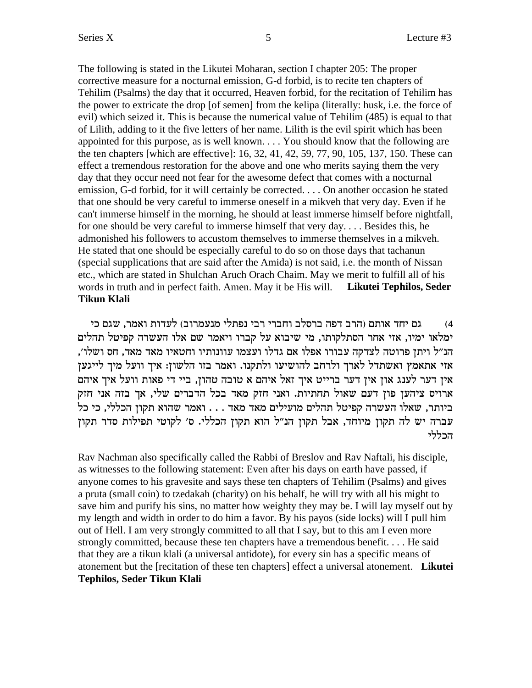The following is stated in the Likutei Moharan, section I chapter 205: The proper corrective measure for a nocturnal emission, G-d forbid, is to recite ten chapters of Tehilim (Psalms) the day that it occurred, Heaven forbid, for the recitation of Tehilim has the power to extricate the drop [of semen] from the kelipa (literally: husk, i.e. the force of evil) which seized it. This is because the numerical value of Tehilim (485) is equal to that of Lilith, adding to it the five letters of her name. Lilith is the evil spirit which has been appointed for this purpose, as is well known. . . . You should know that the following are the ten chapters [which are effective]: 16, 32, 41, 42, 59, 77, 90, 105, 137, 150. These can effect a tremendous restoration for the above and one who merits saying them the very day that they occur need not fear for the awesome defect that comes with a nocturnal emission, G-d forbid, for it will certainly be corrected. . . . On another occasion he stated that one should be very careful to immerse oneself in a mikveh that very day. Even if he can't immerse himself in the morning, he should at least immerse himself before nightfall, for one should be very careful to immerse himself that very day. . . . Besides this, he admonished his followers to accustom themselves to immerse themselves in a mikveh. He stated that one should be especially careful to do so on those days that tachanun (special supplications that are said after the Amida) is not said, i.e. the month of Nissan etc., which are stated in Shulchan Aruch Orach Chaim. May we merit to fulfill all of his words in truth and in perfect faith. Amen. May it be His will. **Likutei Tephilos, Seder Tikun Klali**

גם יחד אותם (הרב דפה ברסלב וחברי רבי נפתלי מנעמרוב) לעדות ואמר, שגם כי ימלאו ימיו, אזי אחר הסתלקותו, מי שיבוא על קברו ויאמר שם אלו העשרה קפיטל תהלים , הנ״ל ויתן פרוטה לצדקה עבורו אפלו אם גדלו ועצמו עוונותיו וחטאיו מאד מאד, חס ושלו אזי אתאמץ ואשתדל לארך ולרחב להושיעו ולתקנו. ואמר בזו הלשון: איך וועל מיך לייגען אין דער לענג און אין דער ברייט איך זאל איהם א טובה טהון, ביי די פאות וועל איך איהם ארויס ציהען פון דעם שאול תחתיות. ואני חזק מאד בכל הדברים שלי, אך בזה אני חזק ביותר, שאלו העשרה קפיטל תהלים מועילים מאד מאד . . . ואמר שהוא תקון הכללי, כי כל עברה יש לה תקון מיוחד, אבל תקון הנ"ל הוא תקון הכללי. ס' לקוטי תפילות סדר תקון הכללי

Rav Nachman also specifically called the Rabbi of Breslov and Rav Naftali, his disciple, as witnesses to the following statement: Even after his days on earth have passed, if anyone comes to his gravesite and says these ten chapters of Tehilim (Psalms) and gives a pruta (small coin) to tzedakah (charity) on his behalf, he will try with all his might to save him and purify his sins, no matter how weighty they may be. I will lay myself out by my length and width in order to do him a favor. By his payos (side locks) will I pull him out of Hell. I am very strongly committed to all that I say, but to this am I even more strongly committed, because these ten chapters have a tremendous benefit. . . . He said that they are a tikun klali (a universal antidote), for every sin has a specific means of atonement but the [recitation of these ten chapters] effect a universal atonement. **Likutei Tephilos, Seder Tikun Klali**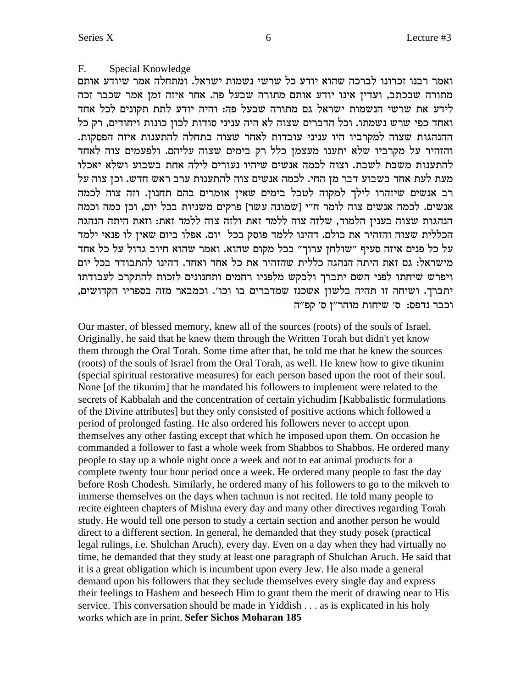#### F. Special Knowledge

ואמר רבנו זכרונו לברכה שהוא יודע כל שרשי נשמות ישראל. ומתחלה אמר שיודע אותם מתורה שבכתב, ועדין אינו יודע אותם מתורה שבעל פה. אחר איזה זמן אמר שכבר זכה לידע את שרשי הנשמות ישראל גם מתורה שבעל פה: והיה יודע לתת תקונים לכל אחד ואחד כפי שרש נשמתו. וכל הדברים שצוה לא היה עניני סודות לכון כונות ויחודים, רק כל ההנהגות שצוה למקרביו היו עניני עובדות לאחר שצוה בתחלה להתענות איזה הפסקות. והזהיר על מקרביו שלא יתענו מעצמן כלל רק בימים שצוה עליהם. ולפעמים צוה לאחד להתענות משבת לשבת. וצוה לכמה אנשים שיהיו נעורים לילה אחת בשבוע ושלא יאכלו מעת לעת אחד בשבוע דבר מן החי. לכמה אנשים צוה להתענות ערב ראש חדש. וכן צוה על רב אנשים שיזהרו לילך למקוה לטבל בימים שאין אומרים בהם תחנון. וזה צוה לכמה אנשים. לכמה אנשים צוה לומר ח"י [שמונה עשר] פרקים משניות בכל יום, וכן כמה וכמה הנהגות שצוה בענין הלמוד, שלזה צוה ללמד זאת ולזה צוה ללמד זאת: וזאת היתה הנהגה הכללית שצוה והזהיר את כולם. דהינו ללמד פוסק בכל יום. אפלו ביום שאין לו פנאי ילמד על כל פנים איזה סעיף "שולחן ערוך" בכל מקום שהוא. ואמר שהוא חיוב גדול על כל אחד מישראל: גם זאת היתה הנהגה כללית שהזהיר את כל אחד ואחד. דהינו להתבודד בכל יום ויפרש שיחתו לפני השם יתברך ולבקש מלפניו רחמים ותחנונים לזכות להתקרב לעבודתו יתברך. ושיחה זו תהיה בלשון אשכנז שמדברים בו וכו׳. וכמבאר מזה בספריו הקדושים, וכבר נדפס: ס' שיחות מוהר"ז ס' קפ"ה

Our master, of blessed memory, knew all of the sources (roots) of the souls of Israel. Originally, he said that he knew them through the Written Torah but didn't yet know them through the Oral Torah. Some time after that, he told me that he knew the sources (roots) of the souls of Israel from the Oral Torah, as well. He knew how to give tikunim (special spiritual restorative measures) for each person based upon the root of their soul. None [of the tikunim] that he mandated his followers to implement were related to the secrets of Kabbalah and the concentration of certain yichudim [Kabbalistic formulations of the Divine attributes] but they only consisted of positive actions which followed a period of prolonged fasting. He also ordered his followers never to accept upon themselves any other fasting except that which he imposed upon them. On occasion he commanded a follower to fast a whole week from Shabbos to Shabbos. He ordered many people to stay up a whole night once a week and not to eat animal products for a complete twenty four hour period once a week. He ordered many people to fast the day before Rosh Chodesh. Similarly, he ordered many of his followers to go to the mikveh to immerse themselves on the days when tachnun is not recited. He told many people to recite eighteen chapters of Mishna every day and many other directives regarding Torah study. He would tell one person to study a certain section and another person he would direct to a different section. In general, he demanded that they study posek (practical legal rulings, i.e. Shulchan Aruch), every day. Even on a day when they had virtually no time, he demanded that they study at least one paragraph of Shulchan Aruch. He said that it is a great obligation which is incumbent upon every Jew. He also made a general demand upon his followers that they seclude themselves every single day and express their feelings to Hashem and beseech Him to grant them the merit of drawing near to His service. This conversation should be made in Yiddish . . . as is explicated in his holy works which are in print. Sefer Sichos Moharan 185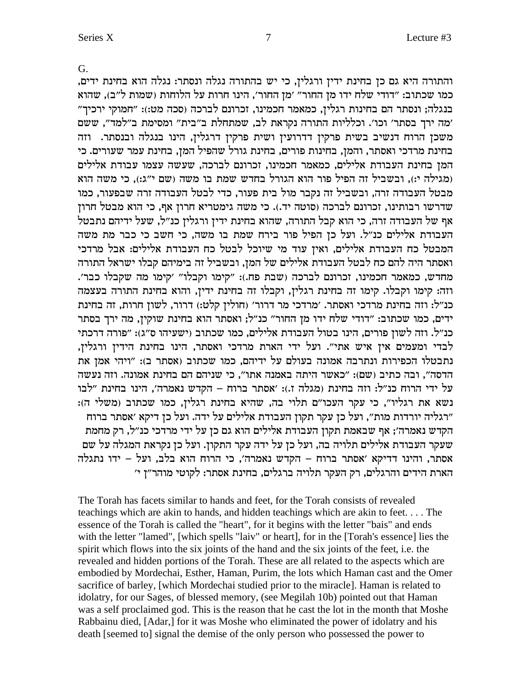G.

והתורה היא גם כן בחינת ידין ורגלין, כי יש בהתורה נגלה ונסתר: נגלה הוא בחינת ידים, כמו שכתוב: "דודי שלח ידו מן החור" 'מן החור', הינו חרות על הלוחות (שמות ל"ב), שהוא "בנגלה; ונסתר הם בחינות רגלין, כמאמר חכמינו, זכרונם לברכה (סכה מט:): "חמוקי ירכיך מה ירך בסתר' וכו'. וכלליות התורה נקראת לב, שמתחלת ב"בית" ומסימת ב"למד", ששם משכן הרוח דנשיב בשית פרקין דדרועין ושית פרקין דרגלין, הינו בנגלה ובנסתר. וזה בחינת מרדכי ואסתר, והמן, בחינות פורים, בחינת גורל שהפיל המן, בחינת עמר שעורים. כי המן בחינת העבודת אלילים, כמאמר חכמינו, זכרונם לברכה, שעשה עצמו עבודת אלילים מגילה י:), ובשביל זה הפיל פור הוא הגורל בחדש שמת בו משה (שם י"ג:), כי משה הוא מבטל העבודה זרה, ובשביל זה נקבר מול בית פעור, כדי לבטל העבודה זרה שבפעור, כמו סדרשו רבותינו, זכרונם לברכה (סוטה יד.). כי משה גימטריא חרון אף, כי הוא מבטל חרון אף של העבודה זרה, כי הוא קבל התורה, שהוא בחינת ידין ורגלין כנ"ל, שעל ידיהם נתבטל העבודת אלילים כנ״ל. ועל כן הפיל פור בירח שמת בו משה, כי חשב כי כבר מת משה המבטל כח העבודת אלילים, ואיז עוד מי שיוכל לבטל כח העבודת אלילים: אבל מרדכי ואסתר היה להם כח לבטל העבודת אלילים של המז, ובשביל זה בימיהם קבלו ישראל התורה מחדש, כמאמר חכמינו, זכרונם לברכה (שבת פח.): "קימו וקבלו" 'קימו מה שקבלו כבר'. וזה: קימו וקבלו. קימו זה בחינת רגלין, וקבלו זה בחינת ידין, והוא בחינת התורה בעצמה כנ״ל: וזה בחינת מרדכי ואסתר. ׳מרדכי מר דרור׳ (חולין קלט:) דרור, לשון חרות, זה בחינת ידים, כמו שכתוב: "דודי שלח ידו מן החור" כנ"ל; ואסתר הוא בחינת שוקין, מה ירך בסתר כנ״ל. וזה לשון פורים, הינו בטול העבודת אלילים, כמו שכתוב (ישעיהו ס״ג): "פורה דרכתי לבדי ומעמים אין איש אתי". ועל ידי הארת מרדכי ואסתר, הינו בחינת הידין ורגלין, נתבטלו הכפירות ונתרבה אמונה בעולם על ידיהם, כמו שכתוב (אסתר ב): "ויהי אמן את הדסה", ובה כתיב (שם): "כאשר היתה באמנה אתו", כי שניהם הם בחינת אמונה. וזה נעשה  $e$ על ידי הרוח כנ"ל: וזה בחינת (מגלה ז.): 'אסתר ברוח – הקדש נאמרה', הינו בחינת "לבו : נשא את רגליו", כי עקר העכו"ם תלוי בה, שהיא בחינת רגלין, כמו שכתוב (משלי ה) רגליה יורדות מות", ועל כן עקר תקון העבודת אלילים על ידה. ועל כן דיקא 'אסתר ברוח" הקדש נאמרה׳; אף שבאמת תקון העבודת אלילים הוא גם כן על ידי מרדכי כנ״ל, רק מחמת שעקר העבודת אלילים תלויה בה, ועל כן על ידה עקר התקון. ועל כן נקראת המגלה על שם מסתר, והינו דדיקא 'אסתר ברוח – הקדש נאמרה', כי הרוח הוא בלב, ועל – ידו נתגלה הארת הידים והרגלים, רק העקר תלויה ברגלים, בחינת אסתר: לקוטי מוהר״ן י׳

The Torah has facets similar to hands and feet, for the Torah consists of revealed teachings which are akin to hands, and hidden teachings which are akin to feet. . . . The essence of the Torah is called the "heart", for it begins with the letter "bais" and ends with the letter "lamed", [which spells "laiv" or heart], for in the [Torah's essence] lies the spirit which flows into the six joints of the hand and the six joints of the feet, i.e. the revealed and hidden portions of the Torah. These are all related to the aspects which are embodied by Mordechai, Esther, Haman, Purim, the lots which Haman cast and the Omer sacrifice of barley, [which Mordechai studied prior to the miracle]. Haman is related to idolatry, for our Sages, of blessed memory, (see Megilah 10b) pointed out that Haman was a self proclaimed god. This is the reason that he cast the lot in the month that Moshe Rabbainu died, [Adar,] for it was Moshe who eliminated the power of idolatry and his death [seemed to] signal the demise of the only person who possessed the power to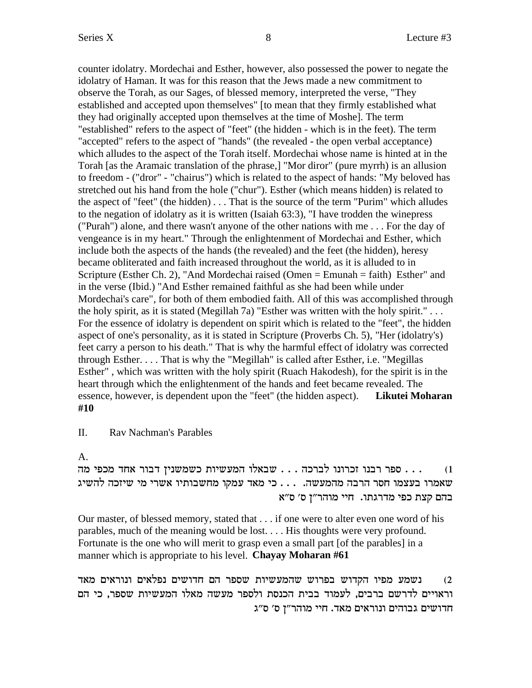counter idolatry. Mordechai and Esther, however, also possessed the power to negate the idolatry of Haman. It was for this reason that the Jews made a new commitment to observe the Torah, as our Sages, of blessed memory, interpreted the verse, "They established and accepted upon themselves" [to mean that they firmly established what they had originally accepted upon themselves at the time of Moshe]. The term "established" refers to the aspect of "feet" (the hidden - which is in the feet). The term "accepted" refers to the aspect of "hands" (the revealed - the open verbal acceptance) which alludes to the aspect of the Torah itself. Mordechai whose name is hinted at in the Torah [as the Aramaic translation of the phrase,] "Mor diror" (pure myrrh) is an allusion to freedom - ("dror" - "chairus") which is related to the aspect of hands: "My beloved has stretched out his hand from the hole ("chur"). Esther (which means hidden) is related to the aspect of "feet" (the hidden) . . . That is the source of the term "Purim" which alludes to the negation of idolatry as it is written (Isaiah 63:3), "I have trodden the winepress ("Purah") alone, and there wasn't anyone of the other nations with me . . . For the day of vengeance is in my heart." Through the enlightenment of Mordechai and Esther, which include both the aspects of the hands (the revealed) and the feet (the hidden), heresy became obliterated and faith increased throughout the world, as it is alluded to in Scripture (Esther Ch. 2), "And Mordechai raised (Omen = Emunah = faith) Esther" and in the verse (Ibid.) "And Esther remained faithful as she had been while under Mordechai's care", for both of them embodied faith. All of this was accomplished through the holy spirit, as it is stated (Megillah 7a) "Esther was written with the holy spirit." . . . For the essence of idolatry is dependent on spirit which is related to the "feet", the hidden aspect of one's personality, as it is stated in Scripture (Proverbs Ch. 5), "Her (idolatry's) feet carry a person to his death." That is why the harmful effect of idolatry was corrected through Esther. . . . That is why the "Megillah" is called after Esther, i.e. "Megillas Esther" , which was written with the holy spirit (Ruach Hakodesh), for the spirit is in the heart through which the enlightenment of the hands and feet became revealed. The essence, however, is dependent upon the "feet" (the hidden aspect). **Likutei Moharan #10**

II. Rav Nachman's Parables

# A.

dn itkn cg` xeac oipynyk zeiyrnd el`ay . . . dkxal epexkf epax xtq . . . (1 שאמרו בעצמו חסר הרבה מהמעשה. . . . כי מאד עמקו מחשבותיו אשרי מי שיזכה להשיג בהם קצת כפי מדרגתו. חיי מוהר"ן ס' ס"א

Our master, of blessed memory, stated that . . . if one were to alter even one word of his parables, much of the meaning would be lost. . . . His thoughts were very profound. Fortunate is the one who will merit to grasp even a small part [of the parables] in a manner which is appropriate to his level. **Chayay Moharan #61**

נשמע מפיו הקדוש בפרוש שהמעשיות שספר הם חדושים נפלאים ונוראים מאד וראויים לדרשם ברבים, לעמוד בבית הכנסת ולספר מעשה מאלו המעשיות שספר, כי הם חדושים גבוהים ונוראים מאד. חיי מוהר"ן ס' ס"ג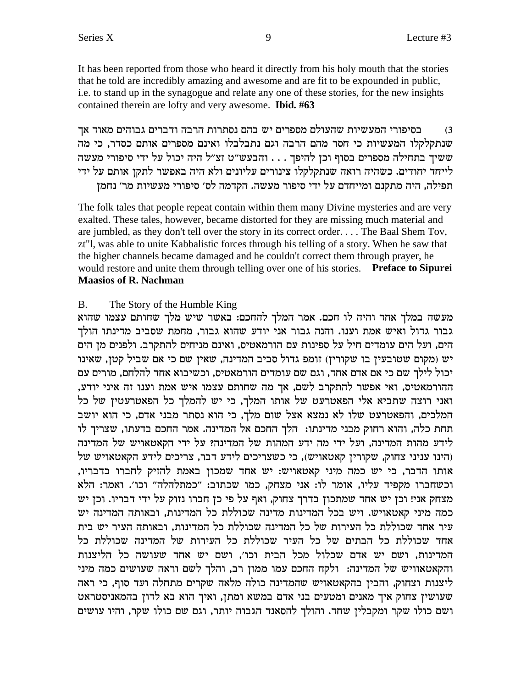It has been reported from those who heard it directly from his holy mouth that the stories that he told are incredibly amazing and awesome and are fit to be expounded in public, i.e. to stand up in the synagogue and relate any one of these stories, for the new insights contained therein are lofty and very awesome. **Ibid. #63**

בסיפורי המעשיות שהעולם מספרים יש בהם נסתרות הרבה ודברים גבוהים מאוד אך  $\,3\,$ שנתקלקלו המעשיות כי חסר מהם הרבה וגם נתבלבלו ואינם מספרים אותם כסדר, כי מה ששיך בתחילה מספרים בסוף וכן להיפך . . . והבעש"ט זצ"ל היה יכול על ידי סיפורי מעשה לייחד יחודים. כשהיה רואה שנתקלקלו צינורים עליונים ולא היה באפשר לתקן אותם על ידי תפילה, היה מתקנם ומייחדם על ידי סיפור מעשה. הקדמה לס׳ סיפורי מעשיות מר׳ נחמן

The folk tales that people repeat contain within them many Divine mysteries and are very exalted. These tales, however, became distorted for they are missing much material and are jumbled, as they don't tell over the story in its correct order. . . . The Baal Shem Tov, zt"l, was able to unite Kabbalistic forces through his telling of a story. When he saw that the higher channels became damaged and he couldn't correct them through prayer, he would restore and unite them through telling over one of his stories. **Preface to Sipurei Maasios of R. Nachman**

# B. The Story of the Humble King

מעשה במלך אחד והיה לו חכם. אמר המלך להחכם: באשר שיש מלך שחותם עצמו שהוא גבור גדול ואיש אמת וענו. והנה גבור אני יודע שהוא גבור, מחמת שסביב מדינתו הולך הים, ועל הים עומדים חיל על ספינות עם הורמאטיס, ואינם מניחים להתקרב. ולפנים מן הים יש (מקום שטובעין בו שקורין) זומפ גדול סביב המדינה, שאין שם כי אם שביל קטן, שאינו יכול לילך שם כי אם אדם אחד, וגם שם עומדים הורמאטיס, וכשיבוא אחד להלחם, מורים עם , ההורמאטיס, ואי אפשר להתקרב לשם, אך מה שחותם עצמו איש אמת וענו זה איני יודע ואני רוצה שתביא אלי הפאטרעט של אותו המלך, כי יש להמלך כל הפאטרעטין של כל המלכים, והפאטרעט שלו לא נמצא אצל שום מלך, כי הוא נסתר מבני אדם, כי הוא יושב תחת כלה, והוא רחוק מבני מדינתו: הלך החכם אל המדינה. אמר החכם בדעתו, שצריך לו לידע מהות המדינה, ועל ידי מה ידע המהות של המדינה? על ידי הקאטאויש של המדינה הינו עניני צחוק, שקורין קאטאויש), כי כשצריכים לידע דבר, צריכים לידע הקאטאויש של ,<br>אותו הדבר, כי יש כמה מיני קאטאויש: יש אחד שמכון באמת להזיק לחברו בדבריו וכשחברו מקפיד עליו, אומר לו: אני מצחק, כמו שכתוב: "כמתלהלה" וכו'. ואמר: הלא מצחק אני! וכן יש אחד שמתכון בדרך צחוק, ואף על פי כן חברו נזוק על ידי דבריו. וכן יש כמה מיני קאטאויש. ויש בכל המדינות מדינה שכוללת כל המדינות, ובאותה המדינה יש עיר אחד שכוללת כל העירות של כל המדינה שכוללת כל המדינות. ובאותה העיר יש בית אחד שכוללת כל הבתים של כל העיר שכוללת כל העירות של המדינה שכוללת כל המדינות, ושם יש אדם שכלול מכל הבית וכו׳, ושם יש אחד שעושה כל הליצנות והקאטאוויש של המדינה: ולקח החכם עמו ממון רב, והלך לשם וראה שעושים כמה מיני ליצנות וצחוק, והבין בהקאטאויש שהמדינה כולה מלאה שקרים מתחלה ועד סוף, כי ראה שעושין צחוק איך מאנים ומטעים בני אדם במשא ומתן, ואיך הוא בא לדון בהמאניסטראט ושם כולו שקר ומקבלין שחד. והולך להסאנד הגבוה יותר, וגם שם כולו שקר, והיו עושים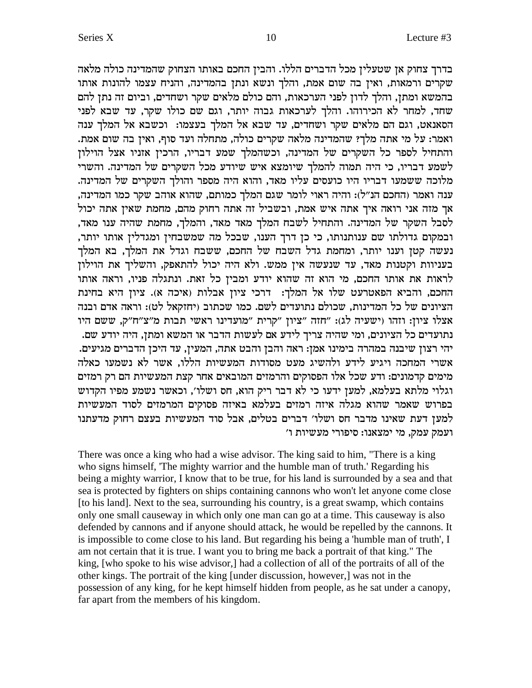בדרך צחוק אן שטעלין מכל הדברים הללו. והבין החכם באותו הצחוק שהמדינה כולה מלאה שקרים ורמאות, ואין בה שום אמת, והלך ונשא ונתן בהמדינה, והניח עצמו להונות אותו בהמשא ומתן, והלך לדון לפני הערכאות, והם כולם מלאים שקר ושחדים, וביום זה נתן להם שחד, למחר לא הכירוהו. והלך לערכאות גבוה יותר, וגם שם כולו שקר, עד שבא לפני הסאנאט, וגם הם מלאים שקר ושחדים, עד שבא אל המלך בעצמו: נכשבא אל המלך ענה .<br>ואמר: על מי אתה מלך? שהמדינה מלאה שקרים כולה, מתחלה ועד סוף, ואין בה שום אמת והתחיל לספר כל השקרים של המדינה, וכשהמלך שמע דבריו, הרכין אזניו אצל הוילון .<br>לשמע דבריו, כי היה תמוה להמלך שיומצא איש שיודע מכל השקרים של המדינה. והשרי .<br>מלוכה ששמעו דבריו היו כועסים עליו מאד, והוא היה מספר והולך השקרים של המדינה , ענה ואמר (החכם הנ״ל): והיה ראוי לומר שגם המלך כמותם, שהוא אוהב שקר כמו המדינה וב הוה אני רואה איך אתה איש אמת, ובשביל זה אתה רחוק מהם, מחמת שאין אתה יכול לסבל השקר של המדינה. והתחיל לשבח המלך מאד מאד, והמלך, מחמת שהיה ענו מאד, , ובמקום גדולתו שם ענותנותו, כי כן דרך הענו, שבכל מה שמשבחין ומגדלין אותו יותר נעשה קטן וענו יותר, ומחמת גדל השבח של החכם, ששבח וגדל את המלך, בא המלך בעניוות וקטנות מאד, עד שנעשה אין ממש. ולא היה יכול להתאפק, והשליך את הוילון לראות את אותו החכם, מי הוא זה שהוא יודע ומבין כל זאת. ונתגלה פניו, וראה אותו החכם, והביא הפאטרעט שלו אל המלך: דרכי ציון אבלות (איכה א). ציון היא בחינת הציונים של כל המדינות, שכולם נתועדים לשם. כמו שכתוב (יחזקאל לט): וראה אדם ובנה הצלו ציון: וזהו (ישעיה לג): "חזה "ציון "קרית "מועדינו ראשי תבות מ"צ"ח"ק, ששם היו .<br>נתועדים כל הציונים, ומי שהיה צריך לידע אם לעשות הדבר או המשא ומתן, היה יודע שם יהי רצון שיבנה במהרה בימינו אמן: ראה והבן והבט אתה, המעין, עד היכן הדברים מגיעים. אשרי המחכה ויגיע לידע ולהשיג מעט מסודות המעשיות הללו, אשר לא נשמעו כאלה מימים קדמונים: ודע שכל אלו הפסוקים והרמזים המובאים אחר קצת המעשיות הם רק רמזים וגלוי מלתא בעלמא, למען ידעו כי לא דבר ריק הוא, חס ושלו׳, וכאשר נשמע מפיו הקדוש בפרוש שאמר שהוא מגלה איזה רמזים בעלמא באיזה פסוקים המרמזים לסוד המעשיות למען דעת שאינו מדבר חס ושלו׳ דברים בטלים, אבל סוד המעשיות בעצם רחוק מדעתנו ועמק עמק, מי ימצאנו: סיפורי מעשיות ו'

There was once a king who had a wise advisor. The king said to him, "There is a king who signs himself, 'The mighty warrior and the humble man of truth.' Regarding his being a mighty warrior, I know that to be true, for his land is surrounded by a sea and that sea is protected by fighters on ships containing cannons who won't let anyone come close [to his land]. Next to the sea, surrounding his country, is a great swamp, which contains only one small causeway in which only one man can go at a time. This causeway is also defended by cannons and if anyone should attack, he would be repelled by the cannons. It is impossible to come close to his land. But regarding his being a 'humble man of truth', I am not certain that it is true. I want you to bring me back a portrait of that king." The king, [who spoke to his wise advisor,] had a collection of all of the portraits of all of the other kings. The portrait of the king [under discussion, however,] was not in the possession of any king, for he kept himself hidden from people, as he sat under a canopy, far apart from the members of his kingdom.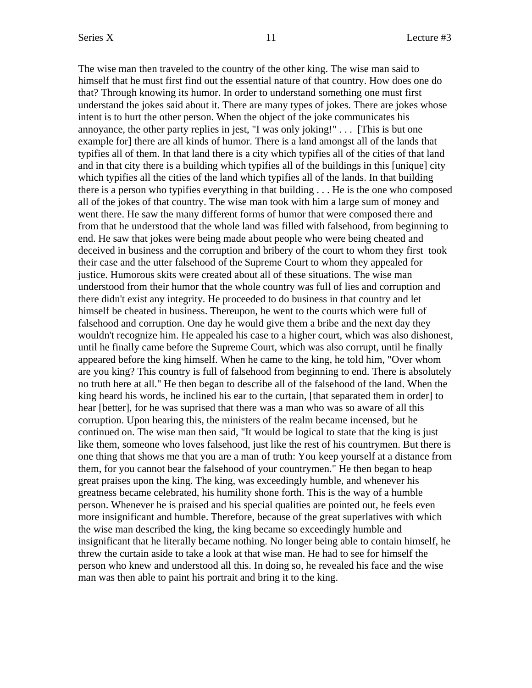The wise man then traveled to the country of the other king. The wise man said to himself that he must first find out the essential nature of that country. How does one do that? Through knowing its humor. In order to understand something one must first understand the jokes said about it. There are many types of jokes. There are jokes whose intent is to hurt the other person. When the object of the joke communicates his annoyance, the other party replies in jest, "I was only joking!" . . . [This is but one example for] there are all kinds of humor. There is a land amongst all of the lands that typifies all of them. In that land there is a city which typifies all of the cities of that land and in that city there is a building which typifies all of the buildings in this [unique] city which typifies all the cities of the land which typifies all of the lands. In that building there is a person who typifies everything in that building . . . He is the one who composed all of the jokes of that country. The wise man took with him a large sum of money and went there. He saw the many different forms of humor that were composed there and from that he understood that the whole land was filled with falsehood, from beginning to end. He saw that jokes were being made about people who were being cheated and deceived in business and the corruption and bribery of the court to whom they first took their case and the utter falsehood of the Supreme Court to whom they appealed for justice. Humorous skits were created about all of these situations. The wise man understood from their humor that the whole country was full of lies and corruption and there didn't exist any integrity. He proceeded to do business in that country and let himself be cheated in business. Thereupon, he went to the courts which were full of falsehood and corruption. One day he would give them a bribe and the next day they wouldn't recognize him. He appealed his case to a higher court, which was also dishonest, until he finally came before the Supreme Court, which was also corrupt, until he finally appeared before the king himself. When he came to the king, he told him, "Over whom are you king? This country is full of falsehood from beginning to end. There is absolutely no truth here at all." He then began to describe all of the falsehood of the land. When the king heard his words, he inclined his ear to the curtain, [that separated them in order] to hear [better], for he was suprised that there was a man who was so aware of all this corruption. Upon hearing this, the ministers of the realm became incensed, but he continued on. The wise man then said, "It would be logical to state that the king is just like them, someone who loves falsehood, just like the rest of his countrymen. But there is one thing that shows me that you are a man of truth: You keep yourself at a distance from them, for you cannot bear the falsehood of your countrymen." He then began to heap great praises upon the king. The king, was exceedingly humble, and whenever his greatness became celebrated, his humility shone forth. This is the way of a humble person. Whenever he is praised and his special qualities are pointed out, he feels even more insignificant and humble. Therefore, because of the great superlatives with which the wise man described the king, the king became so exceedingly humble and insignificant that he literally became nothing. No longer being able to contain himself, he threw the curtain aside to take a look at that wise man. He had to see for himself the person who knew and understood all this. In doing so, he revealed his face and the wise man was then able to paint his portrait and bring it to the king.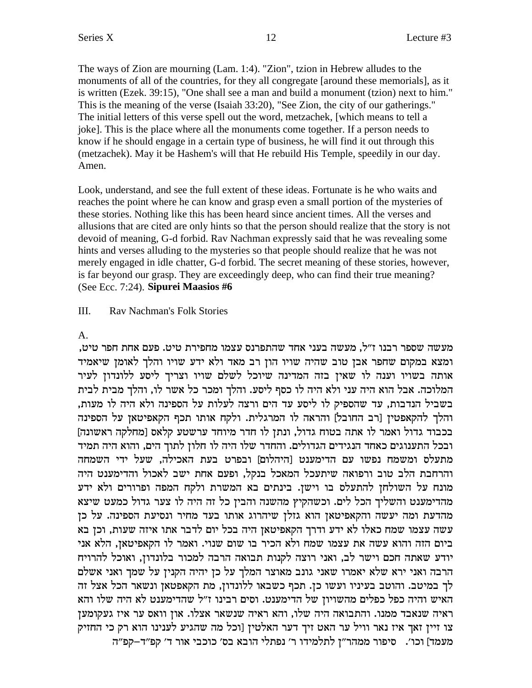The ways of Zion are mourning (Lam. 1:4). "Zion", tzion in Hebrew alludes to the monuments of all of the countries, for they all congregate [around these memorials], as it is written (Ezek. 39:15), "One shall see a man and build a monument (tzion) next to him." This is the meaning of the verse (Isaiah 33:20), "See Zion, the city of our gatherings." The initial letters of this verse spell out the word, metzachek, [which means to tell a joke]. This is the place where all the monuments come together. If a person needs to know if he should engage in a certain type of business, he will find it out through this (metzachek). May it be Hashem's will that He rebuild His Temple, speedily in our day. Amen.

Look, understand, and see the full extent of these ideas. Fortunate is he who waits and reaches the point where he can know and grasp even a small portion of the mysteries of these stories. Nothing like this has been heard since ancient times. All the verses and allusions that are cited are only hints so that the person should realize that the story is not devoid of meaning, G-d forbid. Rav Nachman expressly said that he was revealing some hints and verses alluding to the mysteries so that people should realize that he was not merely engaged in idle chatter, G-d forbid. The secret meaning of these stories, however, is far beyond our grasp. They are exceedingly deep, who can find their true meaning? (See Ecc. 7:24). Sipurei Maasios #6

### III. Rav Nachman's Folk Stories

# $A_{1}$

מעשה שספר רבנו ז״ל, מעשה בעני אחד שהתפרנס עצמו מחפירת טיט. פעם אחת חפר טיט, ומצא במקום שחפר אבן טוב שהיה שויו הון רב מאד ולא ידע שויו והלך לאומן שיאמיד אותה בשויו וענה לו שאין בזה המדינה שיוכל לשלם שויו וצריך ליסע ללונדון לעיר המלוכה. אבל הוא היה עני ולא היה לו כסף ליסע. והלך ומכר כל אשר לו, והלך מבית לבית בשביל הנדבות, עד שהספיק לו ליסע עד הים ורצה לעלות על הספינה ולא היה לו מעות, והלך להקאפטין [רב החובל] והראה לו המרגלית. ולקח אותו תכף הקאפיטאן על הספינה בכבוד גדול ואמר לו אתה בטוח גדול, ונתן לו חדר מיוחד ערשטע קלאס [מחלקה ראשונה] ובכל התענוגים כאחד הנגידים הגדולים. והחדר שלו היה לו חלון לתוך הים, והוא היה תמיד מתעלס ומשמח נפשו עם הדימענט והיהלום] ובפרט בעת האכילה. שעל ידי השמחה והרחבת הלב טוב ורפואה שיתעכל המאכל בנקל, ופעם אחת ישב לאכול והדימענט היה מונח על השולחן להתעלס בו וישן. בינתים בא המשרת ולקח המפה ופרורים ולא ידע מהדימענט והשליך הכל לים. וכשהקיץ מהשנה והבין כל זה היה לו צער גדול כמעט שיצא מהדעת ומה יעשה והקאפיטאן הוא גזלן שיהרוג אותו בעד מחיר ונסיעת הספינה. על כן עשה עצמו שמח כאלו לא ידע ודרך הקאפיטאן היה בכל יום לדבר אתו איזה שעות, וכן בא ביום הזה והוא עשה את עצמו שמח ולא הכיר בו שום שנוי. ואמר לו הקאפיטאן, הלא אני יודע שאתה חכם וישר לב, ואני רוצה לקנות תבואה הרבה למכור בלונדון, ואוכל להרויח הרבה ואני ירא שלא יאמרו שאני גונב מאוצר המלך על כן יהיה הקנין על שמך ואני אשלם לך במיטב. והוטב בעיניו ועשו כן. תכף כשבאו ללונדון, מת הקאפטאן ונשאר הכל אצל זה האיש והיה כפל כפלים מהשויון של הדימענט. וסים רבינו ז"ל שהדימענט לא היה שלו והא ראיה שנאבד ממנו. והתבואה היה שלו, והא ראיה שנשאר אצלו. און וואס ער איז געקומען צו זיין זאך איז נאר וויל ער האט זיך דער האלטין [וכל מה שהגיע לענינו הוא רק כי החזיק מעמד] וכו׳. סיפור ממהר״ן לתלמידו ר׳ נפתלי הובא בס׳ כוכבי אור ד׳ קפ״ד-קפ״ה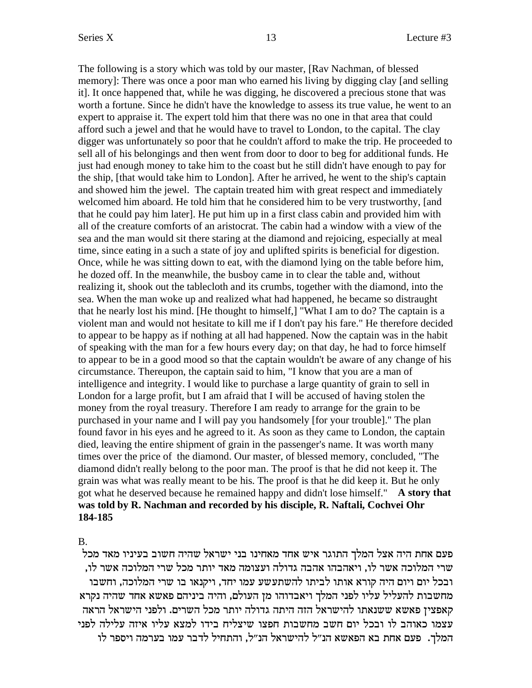The following is a story which was told by our master, [Rav Nachman, of blessed memory]: There was once a poor man who earned his living by digging clay [and selling it]. It once happened that, while he was digging, he discovered a precious stone that was worth a fortune. Since he didn't have the knowledge to assess its true value, he went to an expert to appraise it. The expert told him that there was no one in that area that could afford such a jewel and that he would have to travel to London, to the capital. The clay digger was unfortunately so poor that he couldn't afford to make the trip. He proceeded to sell all of his belongings and then went from door to door to beg for additional funds. He just had enough money to take him to the coast but he still didn't have enough to pay for the ship, [that would take him to London]. After he arrived, he went to the ship's captain and showed him the jewel. The captain treated him with great respect and immediately welcomed him aboard. He told him that he considered him to be very trustworthy, [and that he could pay him later]. He put him up in a first class cabin and provided him with all of the creature comforts of an aristocrat. The cabin had a window with a view of the sea and the man would sit there staring at the diamond and rejoicing, especially at meal time, since eating in a such a state of joy and uplifted spirits is beneficial for digestion. Once, while he was sitting down to eat, with the diamond lying on the table before him, he dozed off. In the meanwhile, the busboy came in to clear the table and, without realizing it, shook out the tablecloth and its crumbs, together with the diamond, into the sea. When the man woke up and realized what had happened, he became so distraught that he nearly lost his mind. [He thought to himself,] "What I am to do? The captain is a violent man and would not hesitate to kill me if I don't pay his fare." He therefore decided to appear to be happy as if nothing at all had happened. Now the captain was in the habit of speaking with the man for a few hours every day; on that day, he had to force himself to appear to be in a good mood so that the captain wouldn't be aware of any change of his circumstance. Thereupon, the captain said to him, "I know that you are a man of intelligence and integrity. I would like to purchase a large quantity of grain to sell in London for a large profit, but I am afraid that I will be accused of having stolen the money from the royal treasury. Therefore I am ready to arrange for the grain to be purchased in your name and I will pay you handsomely [for your trouble]." The plan found favor in his eyes and he agreed to it. As soon as they came to London, the captain died, leaving the entire shipment of grain in the passenger's name. It was worth many times over the price of the diamond. Our master, of blessed memory, concluded, "The diamond didn't really belong to the poor man. The proof is that he did not keep it. The grain was what was really meant to be his. The proof is that he did keep it. But he only got what he deserved because he remained happy and didn't lose himself." **A story that was told by R. Nachman and recorded by his disciple, R. Naftali, Cochvei Ohr 184-185**

B.

פעם אחת היה אצל המלך התוגר איש אחד מאחינו בני ישראל שהיה חשוב בעיניו מאד מכל , שרי המלוכה אשר לו, ויאהבהו אהבה גדולה ועצומה מאד יותר מכל שרי המלוכה אשר לו ובכל יום ויום היה קורא אותו לביתו להשתעשע עמו יחד, ויקנאו בו שרי המלוכה, וחשבו מחשבות להעליל עליו לפני המלך ויאבדוהו מן העולם, והיה ביניהם פאשא אחד שהיה נקרא קאפצין פאשא ששנאתו להישראל הזה היתה גדולה יותר מכל השרים. ולפני הישראל הראה עצמו כאוהב לו ובכל יום חשב מחשבות חפצו שיצליח בידו למצא עליו איזה עלילה לפני המלך. פעם אחת בא הפאשא הנ"ל להישראל הנ"ל, והתחיל לדבר עמו בערמה ויספר לו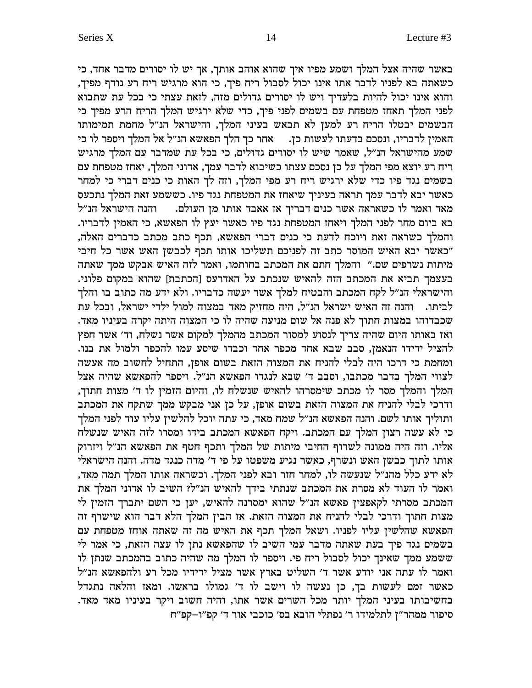באשר שהיה אצל המלך ושמע מפיו איך שהוא אוהב אותך, אך יש לו יסורים מדבר אחד, כי , כשאתה בא לפניו לדבר אתו אינו יכול לסבול ריח פיך, כי הוא מרגיש ריח רע נודף מפיך והוא אינו יכול להיות בלעדיך ויש לו יסורים גדולים מזה, לזאת עצתי כי בכל עת שתבוא לפני המלך תאחז מטפחת עם בשמים לפני פיך, כדי שלא ירגיש המלך הריח הרע מפיך כי הבשמים יבטלו הריח רע למען לא תבאש בעיני המלך, והישראל הנ"ל מחמת תמימותו האמין לדבריו, ונסכם בדעתו לעשות כן. אחר כך הלך הפאשא הנ"ל אל המלך ויספר לו כי שמע מהישראל הנ"ל, שאמר שיש לו יסורים גדולים, כי בכל עת שמדבר עם המלך מרגיש  $^\dagger$ ריח רע יוצא מפי המלך על כן נסכם עצתו כשיבוא לדבר עמך, אדוני המלך, יאחז מטפחת עם בשמים נגד פיו כדי שלא ירגיש ריח רע מפי המלך, וזה לך האות כי כנים דברי כי למחר כאשר יבא לדבר עמך תראה בעיניך שיאחז את המטפחת נגד פיו. כששמע זאת המלך נתכעס מאד ואמר לו כשאראה אשר כנים דבריך אז אאבד אותו מן העולם.  $\qquad$  והנה הישראל הנ"ל בא ביום מחר לפני המלך ויאחז המטפחת נגד פיו כאשר יעץ לו הפאשא, כי האמין לדבריו. , והמלך כשראה זאת ויוכח לדעת כי כנים דברי הפאשא, תכף כתב מכתב כדברים האלה "כאשר יבא האיש המוסר כתב זה לפניכם תשליכו אותו תכף לכבשן האש אשר כל חיבי מיתות נשרפים שם." והמלך חתם את המכתב בחותמו, ואמר לזה האיש אבקש ממך שאתה .<br>בעצמך תביא את המכתב הזה להאיש שנכתב על האדרעס [הכתבת] שהוא במקום פלוני והישראלי הנ"ל לקח המכתב והבטיח למלך אשר יעשה כדבריו. ולא ידע מה כתוב בו והלך לביתו. נהנה זה האיש ישראל הנ"ל, היה מחזיק מאד במצוה למול ילדי ישראל, ובכל עת . שכבדוהו במצות חתוך לא פנה אל שום מניעה שהיה לו כי המצוה היתה יקרה בעיניו מאד ואז באותו היום שהיה צריך לנסוע למסור המכתב מהמלך למקום אשר נשלח, וד' אשר חפץ .<br>להציל ידידו הנאמן, סבב שבא אחד מכפר אחד וכבדו שיסע עמו להכפר ולמול את בנו. ומחמת כי דרכו היה לבלי להניח את המצוה הזאת בשום אופן, התחיל לחשוב מה אעשה לצווי המלך בדבר מכתבו, וסבב ד׳ שבא לנגדו הפאשא הנ״ל. ויספר להפאשא שהיה אצל המלך והמלך מסר לו מכתב שימסרהו להאיש שנשלח לו, והיום הזמין לו ד׳ מצות חתוך, ודרכי לבלי להניח את המצוה הזאת בשום אופן, על כן אני מבקש ממך שתקח את המכתב ותוליך אותו לשם. והנה הפאשא הנ"ל שמח מאד, כי עתה יוכל להלשין עליו עוד לפני המלך רי לא עשה רצון המלך עם המכתב. ויקח הפאשא המכתב בידו ומסרו לזה האיש שנשלח אליו. וזה היה ממונה לשרוף החיבי מיתות של המלך ותכף חטף את הפאשא הנ"ל ויזרוק  $\sim$ אותו לתוך כבשן האש ונשרף, כאשר נגיע משפטו על פי ד׳ מדה כנגד מדה. והנה הישראלי לא ידע כלל מהנ"ל שנעשה לו, למחר חזר ובא לפני המלך. וכשראה אותו המלך תמה מאד,  $\overline{\phantom{a}}$ ואמר לו העוד לא מסרת את המכתב שנתתי בידך להאיש הנ"ל? השיב לו העוד לא המכתב מסרתי לקאפצין פאשא הנ"ל שהוא ימסרנה להאיש, יען כי השם יתברך הזמין לי מצות חתוך ודרכי לבלי להניח את המצוה הזאת. אז הבין המלך הלא דבר הוא שישרף זה הפאשא שהלשין עליו לפניו. ושאל המלך תכף את האיש מה זה שאתה אוחז מטפחת עם בשמים נגד פיך בעת שאתה מדבר עמי השיב לו שהפאשא נתן לו עצה הזאת, כי אמר לי ששמע ממך שאינך יכול לסבול ריח פי. ויספר לו המלך מה שהיה כתוב בהמכתב שנתן לו ואמר לו עתה אני יודע אשר ד' השליט בארץ אשר מציל ידידיו מכל רע ולהפאשא הנ"ל כאשר זמם לעשות בך, כן נעשה לו וישב לו ד׳ גמולו בראשו. ומאז והלאה נתגדל .<br>בחשיבותו בעיני המלך יותר מכל השרים אשר אתו, והיה חשוב ויקר בעיניו מאד מאד. סיפור ממהר"ז לתלמידו ר' נפתלי הובא בס' כוכבי אור ד' קפ"ו–קפ"ח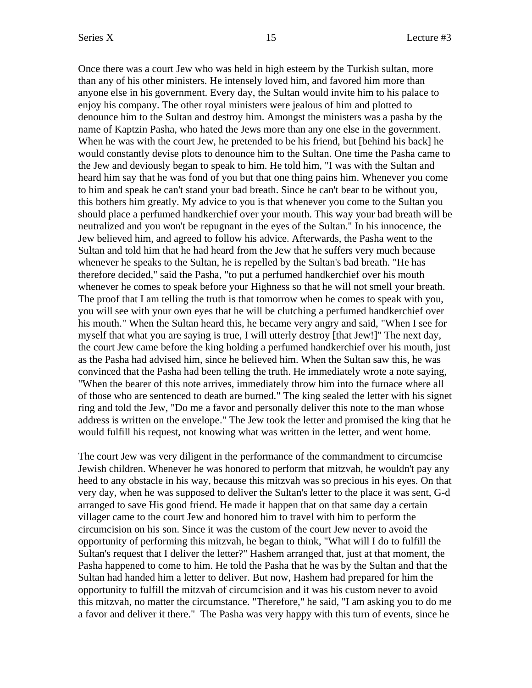Once there was a court Jew who was held in high esteem by the Turkish sultan, more than any of his other ministers. He intensely loved him, and favored him more than anyone else in his government. Every day, the Sultan would invite him to his palace to enjoy his company. The other royal ministers were jealous of him and plotted to denounce him to the Sultan and destroy him. Amongst the ministers was a pasha by the name of Kaptzin Pasha, who hated the Jews more than any one else in the government. When he was with the court Jew, he pretended to be his friend, but [behind his back] he would constantly devise plots to denounce him to the Sultan. One time the Pasha came to the Jew and deviously began to speak to him. He told him, "I was with the Sultan and heard him say that he was fond of you but that one thing pains him. Whenever you come to him and speak he can't stand your bad breath. Since he can't bear to be without you, this bothers him greatly. My advice to you is that whenever you come to the Sultan you should place a perfumed handkerchief over your mouth. This way your bad breath will be neutralized and you won't be repugnant in the eyes of the Sultan." In his innocence, the Jew believed him, and agreed to follow his advice. Afterwards, the Pasha went to the Sultan and told him that he had heard from the Jew that he suffers very much because whenever he speaks to the Sultan, he is repelled by the Sultan's bad breath. "He has therefore decided," said the Pasha, "to put a perfumed handkerchief over his mouth whenever he comes to speak before your Highness so that he will not smell your breath. The proof that I am telling the truth is that tomorrow when he comes to speak with you, you will see with your own eyes that he will be clutching a perfumed handkerchief over his mouth." When the Sultan heard this, he became very angry and said, "When I see for myself that what you are saying is true, I will utterly destroy [that Jew!]" The next day, the court Jew came before the king holding a perfumed handkerchief over his mouth, just as the Pasha had advised him, since he believed him. When the Sultan saw this, he was convinced that the Pasha had been telling the truth. He immediately wrote a note saying, "When the bearer of this note arrives, immediately throw him into the furnace where all of those who are sentenced to death are burned." The king sealed the letter with his signet ring and told the Jew, "Do me a favor and personally deliver this note to the man whose address is written on the envelope." The Jew took the letter and promised the king that he would fulfill his request, not knowing what was written in the letter, and went home.

The court Jew was very diligent in the performance of the commandment to circumcise Jewish children. Whenever he was honored to perform that mitzvah, he wouldn't pay any heed to any obstacle in his way, because this mitzvah was so precious in his eyes. On that very day, when he was supposed to deliver the Sultan's letter to the place it was sent, G-d arranged to save His good friend. He made it happen that on that same day a certain villager came to the court Jew and honored him to travel with him to perform the circumcision on his son. Since it was the custom of the court Jew never to avoid the opportunity of performing this mitzvah, he began to think, "What will I do to fulfill the Sultan's request that I deliver the letter?" Hashem arranged that, just at that moment, the Pasha happened to come to him. He told the Pasha that he was by the Sultan and that the Sultan had handed him a letter to deliver. But now, Hashem had prepared for him the opportunity to fulfill the mitzvah of circumcision and it was his custom never to avoid this mitzvah, no matter the circumstance. "Therefore," he said, "I am asking you to do me a favor and deliver it there." The Pasha was very happy with this turn of events, since he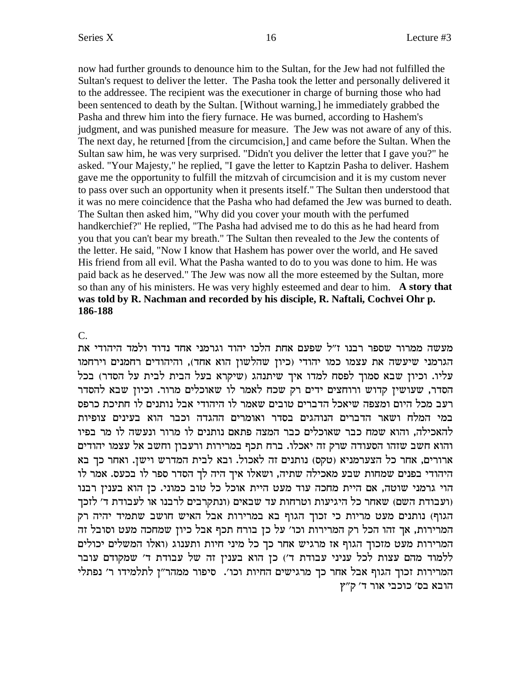now had further grounds to denounce him to the Sultan, for the Jew had not fulfilled the Sultan's request to deliver the letter. The Pasha took the letter and personally delivered it to the addressee. The recipient was the executioner in charge of burning those who had been sentenced to death by the Sultan. [Without warning,] he immediately grabbed the Pasha and threw him into the fiery furnace. He was burned, according to Hashem's judgment, and was punished measure for measure. The Jew was not aware of any of this. The next day, he returned [from the circumcision,] and came before the Sultan. When the Sultan saw him, he was very surprised. "Didn't you deliver the letter that I gave you?" he asked. "Your Majesty," he replied, "I gave the letter to Kaptzin Pasha to deliver. Hashem gave me the opportunity to fulfill the mitzvah of circumcision and it is my custom never to pass over such an opportunity when it presents itself." The Sultan then understood that it was no mere coincidence that the Pasha who had defamed the Jew was burned to death. The Sultan then asked him, "Why did you cover your mouth with the perfumed handkerchief?" He replied, "The Pasha had advised me to do this as he had heard from you that you can't bear my breath." The Sultan then revealed to the Jew the contents of the letter. He said, "Now I know that Hashem has power over the world, and He saved His friend from all evil. What the Pasha wanted to do to you was done to him. He was paid back as he deserved." The Jew was now all the more esteemed by the Sultan, more so than any of his ministers. He was very highly esteemed and dear to him. A story that was told by R. Nachman and recorded by his disciple, R. Naftali, Cochvei Ohr p. 186-188

# $\overline{C}$ .

מעשה ממרור שספר רבנו ז״ל שפעם אחת הלכו יהוד וגרמני אחד נדוד ולמד היהודי את הגרמני שיעשה את עצמו כמו יהודי (כיון שהלשון הוא אחד), והיהודים רחמנים וירחמו עליו. וכיון שבא סמוך לפסח למדו איך שיתנהג (שיקרא בעל הבית לבית על הסדר) בכל הסדר, שעושין קדוש ורוחצים ידים רק שכח לאמר לו שאוכלים מרור. וכיון שבא להסדר רעב מכל היום ומצפה שיאכל הדברים טובים שאמר לו היהודי אבל נותנים לו חתיכת כרפס במי המלח ושאר הדברים הנוהגים בסדר ואומרים ההגדה וכבר הוא בעינים צופיות להאכילה, והוא שמח כבר שאוכלים כבר המצה פתאם נותנים לו מרור ונעשה לו מר בפיו והוא חשב שזהו הסעודה שרק זה יאכלו. ברח תכף במרירות ורעבון וחשב אל עצמו יהודים ארורים, אחר כל הצערמניא (טקס) נותנים זה לאכול. ובא לבית המדרש וישן. ואחר כך בא היהודי בפנים שמחות שבע מאכילה שתיה, ושאלו איך היה לך הסדר ספר לו בכעס. אמר לו הוי גרמני שוטה, אם היית מחכה עוד מעט היית אוכל כל טוב כמוני. כן הוא בענין רבנו ועבודת השם) שאחר כל היגיעות וטרחות עד שבאים (ונתקרבים לרבנו או לעבודת ד׳ לזכך) הגוף) נותנים מעט מריות כי זכוך הגוף בא במרירות אבל האיש חושב שתמיד יהיה רק המרירות, אך זהו הכל רק המרירות וכו׳ על כן בורח תכף אבל כיון שמחכה מעט וסובל זה המרירות מעט מזכוך הגוף אז מרגיש אחר כך כל מיני חיות ותענוג (ואלו המשלים יכולים ללמוד מהם עצות לכל עניני עבודת ד') כן הוא בענין זה של עבודת ד' שמקודם עובר המרירות זכוך הגוף אבל אחר כך מרגישים החיות וכו׳. סיפור ממהר״ן לתלמידו ר׳ נפתלי הובא בס' כוכבי אור ד' ק"ץ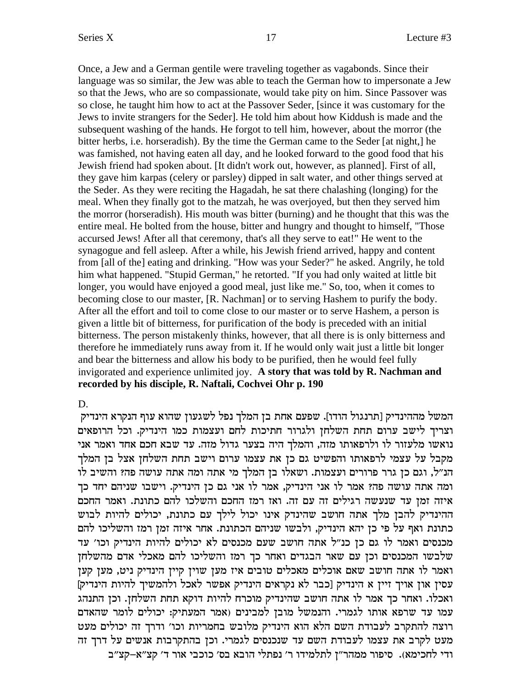Once, a Jew and a German gentile were traveling together as vagabonds. Since their language was so similar, the Jew was able to teach the German how to impersonate a Jew so that the Jews, who are so compassionate, would take pity on him. Since Passover was so close, he taught him how to act at the Passover Seder, [since it was customary for the Jews to invite strangers for the Seder]. He told him about how Kiddush is made and the subsequent washing of the hands. He forgot to tell him, however, about the morror (the bitter herbs, i.e. horseradish). By the time the German came to the Seder [at night,] he was famished, not having eaten all day, and he looked forward to the good food that his Jewish friend had spoken about. [It didn't work out, however, as planned]. First of all, they gave him karpas (celery or parsley) dipped in salt water, and other things served at the Seder. As they were reciting the Hagadah, he sat there chalashing (longing) for the meal. When they finally got to the matzah, he was overjoyed, but then they served him the morror (horseradish). His mouth was bitter (burning) and he thought that this was the entire meal. He bolted from the house, bitter and hungry and thought to himself, "Those accursed Jews! After all that ceremony, that's all they serve to eat!" He went to the synagogue and fell asleep. After a while, his Jewish friend arrived, happy and content from [all of the] eating and drinking. "How was your Seder?" he asked. Angrily, he told him what happened. "Stupid German," he retorted. "If you had only waited at little bit longer, you would have enjoyed a good meal, just like me." So, too, when it comes to becoming close to our master, [R. Nachman] or to serving Hashem to purify the body. After all the effort and toil to come close to our master or to serve Hashem, a person is given a little bit of bitterness, for purification of the body is preceded with an initial bitterness. The person mistakenly thinks, however, that all there is is only bitterness and therefore he immediately runs away from it. If he would only wait just a little bit longer and bear the bitterness and allow his body to be purified, then he would feel fully invigorated and experience unlimited joy. **A story that was told by R. Nachman and recorded by his disciple, R. Naftali, Cochvei Ohr p. 190**

### D.

המשל מההינדיק [תרנגול הודו]. שפעם אחת בן המלך נפל לשגעון שהוא עוף הנקרא הינדיק וצריך לישב ערום תחת השלחן ולגרור חתיכות לחם ועצמות כמו הינדיק. וכל הרופאים נואשו מלעזור לו ולרפאותו מזה, והמלך היה בצער גדול מזה. עד שבא חכם אחד ואמר אני מקבל על עצמי לרפאותו והפשיט גם כן את עצמו ערום וישב תחת השלחן אצל בן המלך הנ״ל, וגם כן גרר פרורים ועצמות. ושאלו בן המלך מי אתה ומה אתה עושה פה? והשיב לו ומה אתה עושה פה? אמר לו אני הינדיק, אמר לו אני גם כן הינדיק. וישבו שניהם יחד כך איזה זמן עד שנעשה רגילים זה עם זה. ואז רמז החכם והשלכו להם כתונת. ואמר החכם ההינדיק להבן מלך אתה חושב שהינדק אינו יכול לילך עם כתונת, יכולים להיות לבוש כתונת ואף על פי כן יהא הינדיק, ולבשו שניהם הכתונת. אחר איזה זמן רמז והשליכו להם מכנסים ואמר לו גם כן כנ"ל אתה חושב שעם מכנסים לא יכולים להיות הינדיק וכו' עד שלבשו המכנסים וכן עם שאר הבגדים ואחר כך רמז והשליכו להם מאכלי אדם מהשלחן ואמר לו אתה חושב שאם אוכלים מאכלים טובים איז מען שוין קיין הינדיק ניט, מען קען [עסין און אויך זיין א הינדיק [כבר לא נקראים הינדיק אפשר לאכל ולהמשיך להיות הינדיק ואכלו. ואחר כך אמר לו אתה חושב שהינדיק מוכרח להיות דוקא תחת השלחן. וכן התנהג עמו עד שרפא אותו לגמרי. והנמשל מובן למבינים (אמר המעתיק: יכולים לומר שהאדם רוצה להתקרב לעבודת השם הלא הוא הינדיק מלובש בחמריות וכו' ודרך זה יכולים מעט מעט לקרב את עצמו לעבודת השם עד שנכנסים לגמרי. וכן בהתקרבות אנשים על דרך זה ודי לחכימא). סיפור ממהר"ן לתלמידו ר' נפתלי הובא בס' כוכבי אור ד' קצ"א-קצ"ב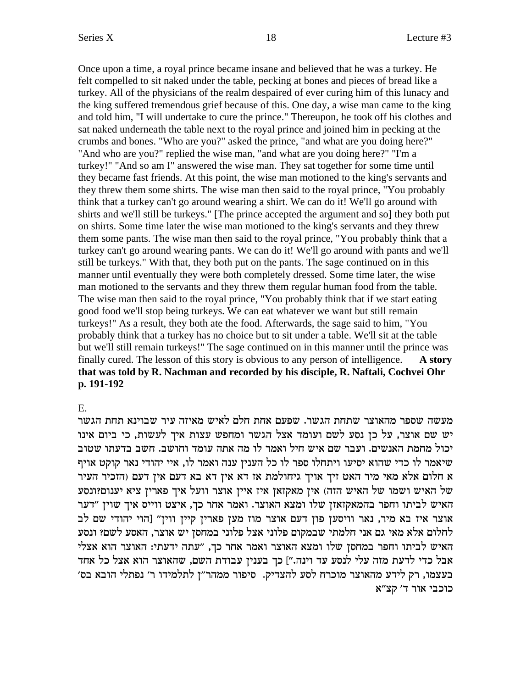Once upon a time, a royal prince became insane and believed that he was a turkey. He felt compelled to sit naked under the table, pecking at bones and pieces of bread like a turkey. All of the physicians of the realm despaired of ever curing him of this lunacy and the king suffered tremendous grief because of this. One day, a wise man came to the king and told him, "I will undertake to cure the prince." Thereupon, he took off his clothes and sat naked underneath the table next to the royal prince and joined him in pecking at the crumbs and bones. "Who are you?" asked the prince, "and what are you doing here?" "And who are you?" replied the wise man, "and what are you doing here?" "I'm a turkey!" "And so am I" answered the wise man. They sat together for some time until they became fast friends. At this point, the wise man motioned to the king's servants and they threw them some shirts. The wise man then said to the royal prince, "You probably think that a turkey can't go around wearing a shirt. We can do it! We'll go around with shirts and we'll still be turkeys." [The prince accepted the argument and so] they both put on shirts. Some time later the wise man motioned to the king's servants and they threw them some pants. The wise man then said to the royal prince, "You probably think that a turkey can't go around wearing pants. We can do it! We'll go around with pants and we'll still be turkeys." With that, they both put on the pants. The sage continued on in this manner until eventually they were both completely dressed. Some time later, the wise man motioned to the servants and they threw them regular human food from the table. The wise man then said to the royal prince, "You probably think that if we start eating good food we'll stop being turkeys. We can eat whatever we want but still remain turkeys!" As a result, they both ate the food. Afterwards, the sage said to him, "You probably think that a turkey has no choice but to sit under a table. We'll sit at the table but we'll still remain turkeys!" The sage continued on in this manner until the prince was finally cured. The lesson of this story is obvious to any person of intelligence. **A story that was told by R. Nachman and recorded by his disciple, R. Naftali, Cochvei Ohr p. 191-192**

# E.

מעשה שספר מהאוצר שתחת הגשר. שפעם אחת חלם לאיש מאיזה עיר שבוינא תחת הגשר יש שם אוצר, על כן נסע לשם ועומד אצל הגשר ומחפש עצות איך לעשות, כי ביום אינו יכול מחמת האנשים. ועבר שם איש חיל ואמר לו מה אתה עומד וחושב. חשב בדעתו שטוב שיאמר לו כדי שהוא יסיעו ויתחלו ספר לו כל הענין ענה ואמר לו, איי יהודי נאר קוקט אויף א חלום אלא מאי מיר האט זיך אויך גיחולמת אז דא אין דא בא דעם אין דעם (הזכיר העיר של האיש ושמו של האיש הזה) אין מאקזאן איז איין אוצר וועל איך פארין ציא יענום?ונסע האיש לביתו וחפר בהמאקזאזן שלו ומצא האוצר. ואמר אחר כך, איצט ווייס איך שוין "דער אוצר איז בא מיר, נאר וויסען פון דעם אוצר מוז מען פארין קיין ווין" [הוי יהודי שם לב לחלום אלא מאי גם אני חלמתי שבמקום פלוני אצל פלוני במחסן יש אוצר, האסע לשם? ונסע האיש לביתו וחפר במחסן שלו ומצא האוצר ואמר אחר כך, "עתה ידעתי: האוצר הוא אצלי אבל כדי לדעת מזה עלי לנסע עד וינה."] כך בענין עבודת השם, שהאוצר הוא אצל כל אחד 'בעצמו, רק לידע מהאוצר מוכרח לסע להצדיק. סיפור ממהר״ז לתלמידו ר׳ נפתלי הובא בס כוכבי אור ד' קצ"א